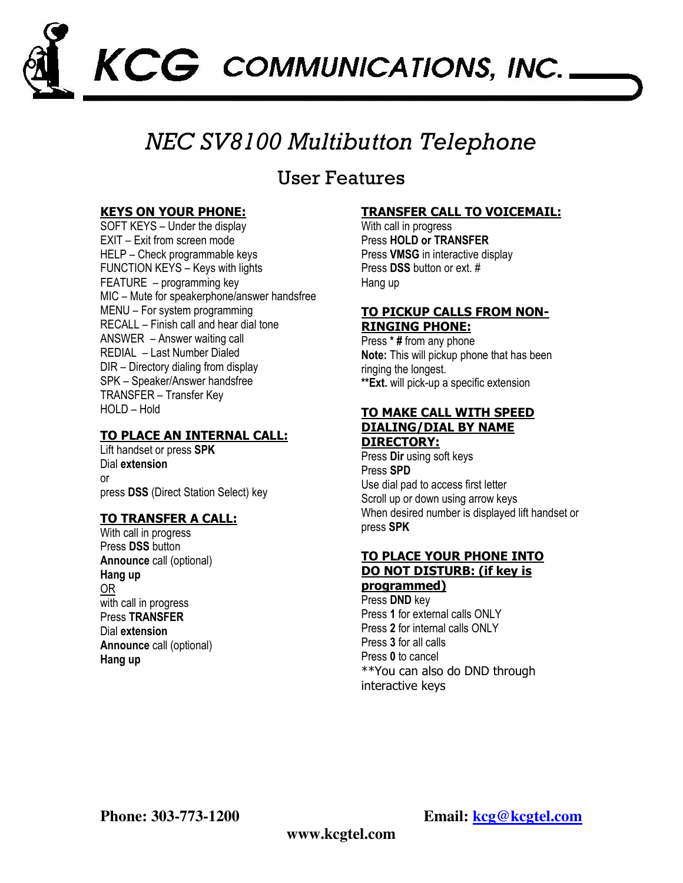

## NEC SV8100 Multibutton Telephone

## User Features

## KEYS ON YOUR PHONE:

SOFT KEYS – Under the display EXIT – Exit from screen mode HELP – Check programmable keys FUNCTION KEYS – Keys with lights FEATURE – programming key MIC – Mute for speakerphone/answer handsfree MENU – For system programming RECALL – Finish call and hear dial tone ANSWER – Answer waiting call REDIAL – Last Number Dialed DIR – Directory dialing from display SPK – Speaker/Answer handsfree TRANSFER – Transfer Key HOLD – Hold

## TO PLACE AN INTERNAL CALL:

Lift handset or press SPK Dial extension or press DSS (Direct Station Select) key

## TO TRANSFER A CALL:

With call in progress Press **DSS** button Announce call (optional) Hang up OR with call in progress Press TRANSFER Dial extension Announce call (optional) Hang up

## TRANSFER CALL TO VOICEMAIL:

With call in progress Press HOLD or TRANSFER Press VMSG in interactive display Press DSS button or ext. # Hang up

#### TO PICKUP CALLS FROM NON-RINGING PHONE:

Press \* # from any phone Note: This will pickup phone that has been ringing the longest. \*\*Ext. will pick-up a specific extension

#### TO MAKE CALL WITH SPEED DIALING/DIAL BY NAME DIRECTORY:

Press Dir using soft keys Press SPD Use dial pad to access first letter Scroll up or down using arrow keys When desired number is displayed lift handset or press SPK

## TO PLACE YOUR PHONE INTO DO NOT DISTURB: (if key is

programmed) Press DND key Press 1 for external calls ONLY Press 2 for internal calls ONLY Press 3 for all calls Press 0 to cancel \*\*You can also do DND through interactive keys

**Phone: 303-773-1200 Email: kcg@kcgtel.com**